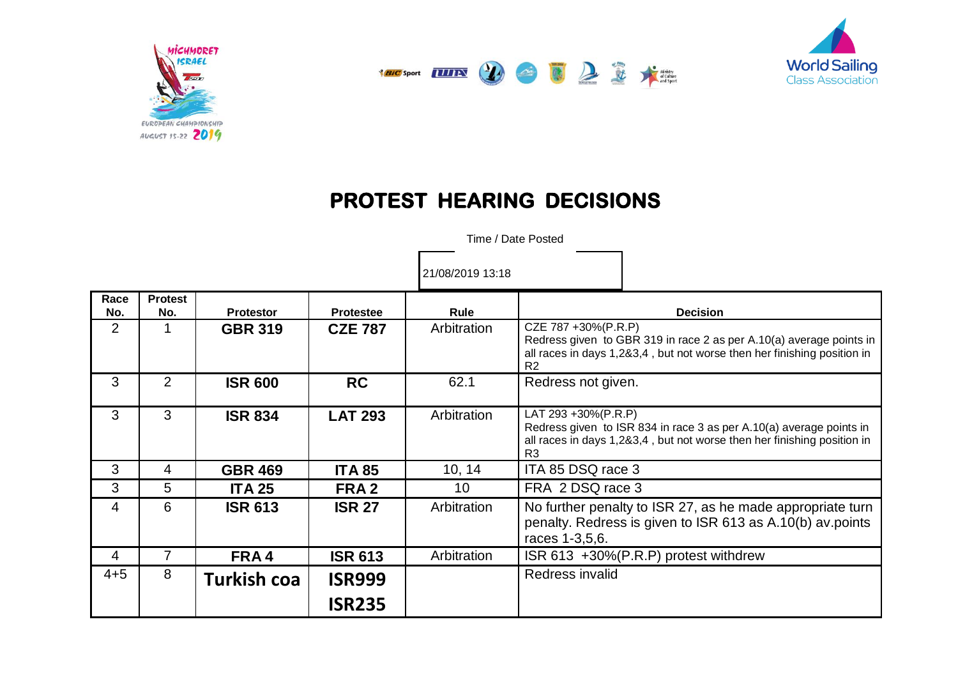





## **PROTEST HEARING DECISIONS**

Time / Date Posted

21/08/2019 13:18

| Race<br>No.    | <b>Protest</b><br>No. | <b>Protestor</b>   | <b>Protestee</b>               | Rule        | <b>Decision</b>                                                                                                                                                                         |
|----------------|-----------------------|--------------------|--------------------------------|-------------|-----------------------------------------------------------------------------------------------------------------------------------------------------------------------------------------|
| $\overline{2}$ |                       | <b>GBR 319</b>     | <b>CZE 787</b>                 | Arbitration | CZE 787 +30%(P.R.P)<br>Redress given to GBR 319 in race 2 as per A.10(a) average points in<br>all races in days 1,2&3,4, but not worse then her finishing position in<br>R <sub>2</sub> |
| 3              | 2                     | <b>ISR 600</b>     | <b>RC</b>                      | 62.1        | Redress not given.                                                                                                                                                                      |
| 3              | 3                     | <b>ISR 834</b>     | <b>LAT 293</b>                 | Arbitration | LAT 293 +30%(P.R.P)<br>Redress given to ISR 834 in race 3 as per A.10(a) average points in<br>all races in days 1,2&3,4, but not worse then her finishing position in<br>R <sub>3</sub> |
| 3              | 4                     | <b>GBR 469</b>     | <b>ITA 85</b>                  | 10, 14      | ITA 85 DSQ race 3                                                                                                                                                                       |
| 3              | 5                     | <b>ITA 25</b>      | FRA <sub>2</sub>               | 10          | FRA 2 DSQ race 3                                                                                                                                                                        |
| 4              | 6                     | <b>ISR 613</b>     | <b>ISR 27</b>                  | Arbitration | No further penalty to ISR 27, as he made appropriate turn<br>penalty. Redress is given to ISR 613 as A.10(b) av.points<br>races 1-3,5,6.                                                |
| 4              |                       | FRA4               | <b>ISR 613</b>                 | Arbitration | ISR 613 +30%(P.R.P) protest withdrew                                                                                                                                                    |
| $4 + 5$        | 8                     | <b>Turkish coa</b> | <b>ISR999</b><br><b>ISR235</b> |             | Redress invalid                                                                                                                                                                         |